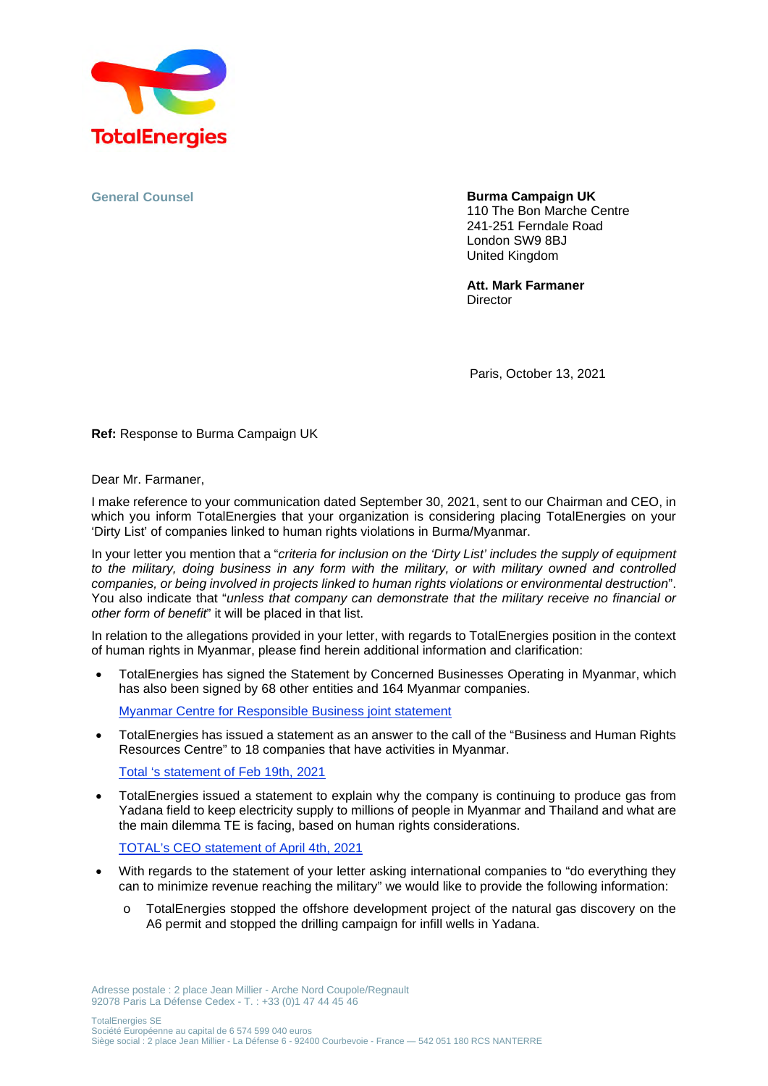

**General Counsel** 

**Burma Campaign UK** 

110 The Bon Marche Centre 241-251 Ferndale Road London SW9 8BJ United Kingdom

**Att. Mark Farmaner Director** 

Paris, October 13, 2021

**Ref:** Response to Burma Campaign UK

Dear Mr. Farmaner,

I make reference to your communication dated September 30, 2021, sent to our Chairman and CEO, in which you inform TotalEnergies that your organization is considering placing TotalEnergies on your 'Dirty List' of companies linked to human rights violations in Burma/Myanmar.

In your letter you mention that a "*criteria for inclusion on the 'Dirty List' includes the supply of equipment to the military, doing business in any form with the military, or with military owned and controlled companies, or being involved in projects linked to human rights violations or environmental destruction*". You also indicate that "*unless that company can demonstrate that the military receive no financial or other form of benefit*" it will be placed in that list.

In relation to the allegations provided in your letter, with regards to TotalEnergies position in the context of human rights in Myanmar, please find herein additional information and clarification:

 TotalEnergies has signed the Statement by Concerned Businesses Operating in Myanmar, which has also been signed by 68 other entities and 164 Myanmar companies.

Myanmar Centre for Responsible Business joint statement

 TotalEnergies has issued a statement as an answer to the call of the "Business and Human Rights Resources Centre" to 18 companies that have activities in Myanmar.

Total 's statement of Feb 19th, 2021

 TotalEnergies issued a statement to explain why the company is continuing to produce gas from Yadana field to keep electricity supply to millions of people in Myanmar and Thailand and what are the main dilemma TE is facing, based on human rights considerations.

TOTAL's CEO statement of April 4th, 2021

- With regards to the statement of your letter asking international companies to "do everything they can to minimize revenue reaching the military" we would like to provide the following information:
	- o TotalEnergies stopped the offshore development project of the natural gas discovery on the A6 permit and stopped the drilling campaign for infill wells in Yadana.

Adresse postale : 2 place Jean Millier - Arche Nord Coupole/Regnault 92078 Paris La Défense Cedex - T. : +33 (0)1 47 44 45 46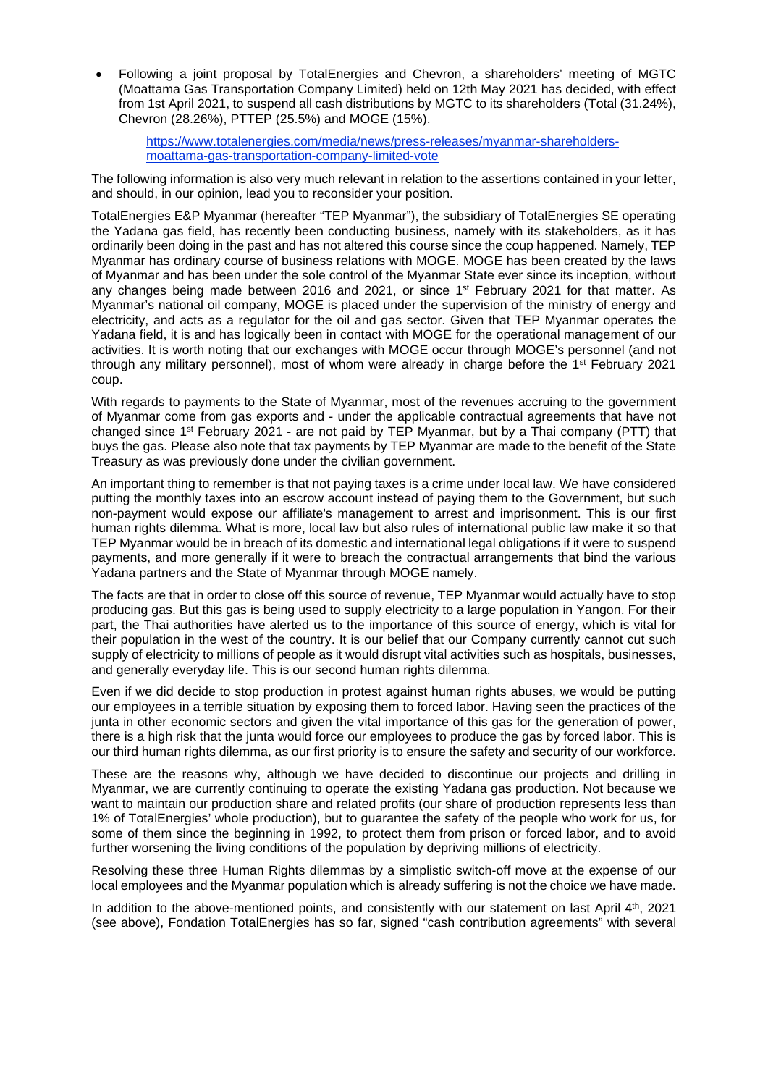Following a joint proposal by TotalEnergies and Chevron, a shareholders' meeting of MGTC (Moattama Gas Transportation Company Limited) held on 12th May 2021 has decided, with effect from 1st April 2021, to suspend all cash distributions by MGTC to its shareholders (Total (31.24%), Chevron (28.26%), PTTEP (25.5%) and MOGE (15%).

https://www.totalenergies.com/media/news/press-releases/myanmar-shareholdersmoattama-gas-transportation-company-limited-vote

The following information is also very much relevant in relation to the assertions contained in your letter, and should, in our opinion, lead you to reconsider your position.

TotalEnergies E&P Myanmar (hereafter "TEP Myanmar"), the subsidiary of TotalEnergies SE operating the Yadana gas field, has recently been conducting business, namely with its stakeholders, as it has ordinarily been doing in the past and has not altered this course since the coup happened. Namely, TEP Myanmar has ordinary course of business relations with MOGE. MOGE has been created by the laws of Myanmar and has been under the sole control of the Myanmar State ever since its inception, without any changes being made between 2016 and 2021, or since 1<sup>st</sup> February 2021 for that matter. As Myanmar's national oil company, MOGE is placed under the supervision of the ministry of energy and electricity, and acts as a regulator for the oil and gas sector. Given that TEP Myanmar operates the Yadana field, it is and has logically been in contact with MOGE for the operational management of our activities. It is worth noting that our exchanges with MOGE occur through MOGE's personnel (and not through any military personnel), most of whom were already in charge before the 1st February 2021 coup.

With regards to payments to the State of Myanmar, most of the revenues accruing to the government of Myanmar come from gas exports and - under the applicable contractual agreements that have not changed since 1st February 2021 - are not paid by TEP Myanmar, but by a Thai company (PTT) that buys the gas. Please also note that tax payments by TEP Myanmar are made to the benefit of the State Treasury as was previously done under the civilian government.

An important thing to remember is that not paying taxes is a crime under local law. We have considered putting the monthly taxes into an escrow account instead of paying them to the Government, but such non-payment would expose our affiliate's management to arrest and imprisonment. This is our first human rights dilemma. What is more, local law but also rules of international public law make it so that TEP Myanmar would be in breach of its domestic and international legal obligations if it were to suspend payments, and more generally if it were to breach the contractual arrangements that bind the various Yadana partners and the State of Myanmar through MOGE namely.

The facts are that in order to close off this source of revenue, TEP Myanmar would actually have to stop producing gas. But this gas is being used to supply electricity to a large population in Yangon. For their part, the Thai authorities have alerted us to the importance of this source of energy, which is vital for their population in the west of the country. It is our belief that our Company currently cannot cut such supply of electricity to millions of people as it would disrupt vital activities such as hospitals, businesses, and generally everyday life. This is our second human rights dilemma.

Even if we did decide to stop production in protest against human rights abuses, we would be putting our employees in a terrible situation by exposing them to forced labor. Having seen the practices of the junta in other economic sectors and given the vital importance of this gas for the generation of power, there is a high risk that the junta would force our employees to produce the gas by forced labor. This is our third human rights dilemma, as our first priority is to ensure the safety and security of our workforce.

These are the reasons why, although we have decided to discontinue our projects and drilling in Myanmar, we are currently continuing to operate the existing Yadana gas production. Not because we want to maintain our production share and related profits (our share of production represents less than 1% of TotalEnergies' whole production), but to guarantee the safety of the people who work for us, for some of them since the beginning in 1992, to protect them from prison or forced labor, and to avoid further worsening the living conditions of the population by depriving millions of electricity.

Resolving these three Human Rights dilemmas by a simplistic switch-off move at the expense of our local employees and the Myanmar population which is already suffering is not the choice we have made.

In addition to the above-mentioned points, and consistently with our statement on last April 4<sup>th</sup>, 2021 (see above), Fondation TotalEnergies has so far, signed "cash contribution agreements" with several